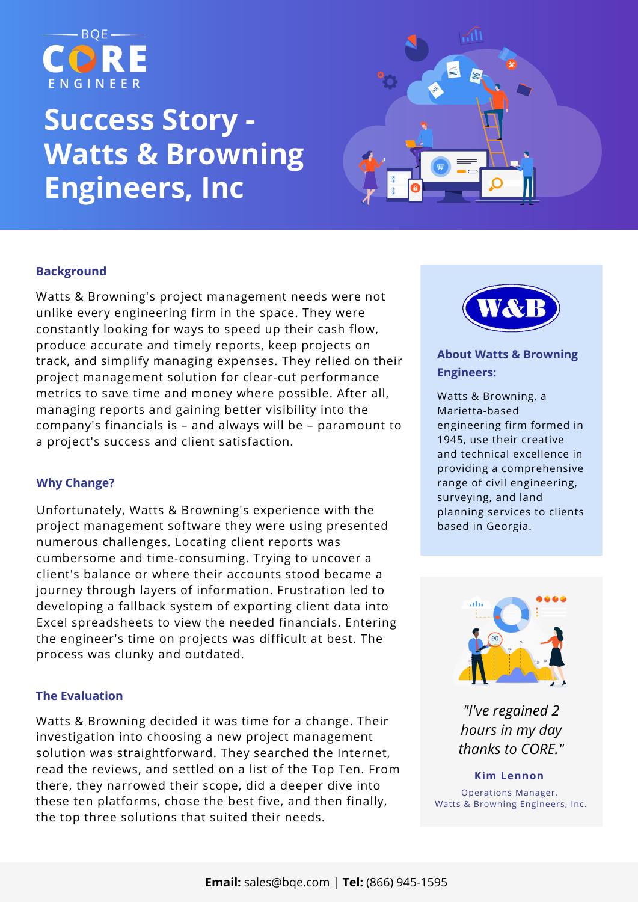

# **Success Story - Watts & Browning Engineers, Inc**



# **Background**

Watts & Browning's project management needs were not unlike every engineering firm in the space. They were constantly looking for ways to speed up their cash flow, produce accurate and timely reports, keep projects on track, and simplify managing expenses. They relied on their project management solution for clear-cut performance metrics to save time and money where possible. After all, managing reports and gaining better visibility into the company's financials is – and always will be – paramount to a project's success and client satisfaction.

# **Why Change?**

Unfortunately, Watts & Browning's experience with the project management software they were using presented numerous challenges. Locating client reports was cumbersome and time-consuming. Trying to uncover a client's balance or where their accounts stood became a journey through layers of information. Frustration led to developing a fallback system of exporting client data into Excel spreadsheets to view the needed financials. Entering the engineer's time on projects was difficult at best. The process was clunky and outdated.

### **The Evaluation**

Watts & Browning decided it was time for a change. Their investigation into choosing a new project management solution was straightforward. They searched the Internet, read the reviews, and settled on a list of the Top Ten. From there, they narrowed their scope, did a deeper dive into these ten platforms, chose the best five, and then finally, the top three solutions that suited their needs.



## **About Watts & Browning [Engineers:](https://www.wbengr.com/)**

Watts & Browning, a Marietta-based engineering firm formed in 1945, use their creative and technical excellence in providing a [comprehensive](https://www.wbengr.com/) range of civil engineering, surveying, and land planning services to clients based in Georgia.



*"I've regained 2 hours in my day thanks to CORE."*

**Kim Lennon** Operations Manager, Watts & Browning Engineers, Inc.